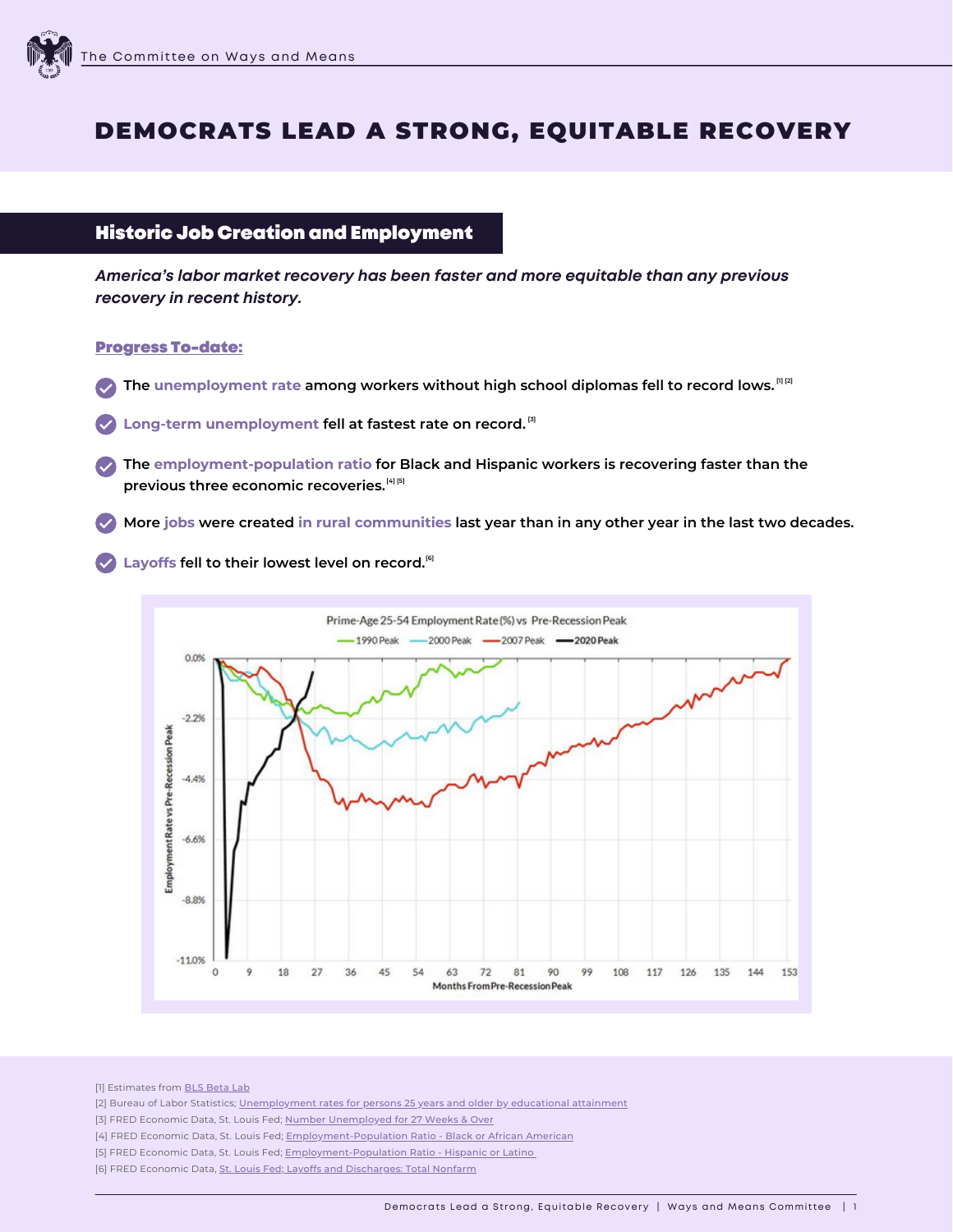# DEMOCRATS LEAD A STRONG, EQUITABLE RECOVERY

## Historic Job Creation and Employment

*America's labor market recovery has been faster and more equitable than any previous recovery in recent history.*

#### Progress To-date:

- **The unemployment rate among workers without high school diplomas fell to record lows. [\[1\]](https://beta.bls.gov/dataViewer/view/timeseries/LNS14027659Q) [\[2\]](https://www.bls.gov/charts/employment-situation/unemployment-rates-for-persons-25-years-and-older-by-educational-attainment.htm)**
- **Long-term unemployment fell at fastest rate on record. [\[3\]](https://fred.stlouisfed.org/series/UEMP27OV)**
- **The employment-population ratio for Black and Hispanic workers is recovering faster than the previous three economic recoveries. [\[4\]](https://fred.stlouisfed.org/series/LNS12300006) [\[5\]](https://fred.stlouisfed.org/series/LNS12300009)**
- More jobs were created in rural communities last year than in any other year in the last two decades.

**Layoffs fell to their lowest level on record. [\[6\]](https://fred.stlouisfed.org/series/JTSLDL)**



[1] Estimates from **BLS [Beta](https://beta.bls.gov/dataViewer/view/timeseries/LNS14027659Q) Lab** 

- [2] Bureau of Labor Statistics; [Unemployment](https://www.bls.gov/charts/employment-situation/unemployment-rates-for-persons-25-years-and-older-by-educational-attainment.htm) rates for persons 25 years and older by educational attainment
- [3] FRED [Economic](https://fred.stlouisfed.org/series/UEMP27OV) Data, St. Louis Fed; Number [Unemployed](https://fred.stlouisfed.org/series/UEMP27OV) for 27 Weeks & Over
- [4] FRED Economic Data, St. Louis Fed; **[Employment-Population](https://fred.stlouisfed.org/series/LNS12300006) Ratio Black or African American**
- [5] FRED Economic Data, St. Louis Fed; **[Employment-Population](https://fred.stlouisfed.org/series/LNS12300009) Ratio Hispanic or Latino**
- [6] FRED Economic Data, St. Louis Fed; Layoffs and [Discharges:](https://fred.stlouisfed.org/series/JTSLDL) Total Nonfarm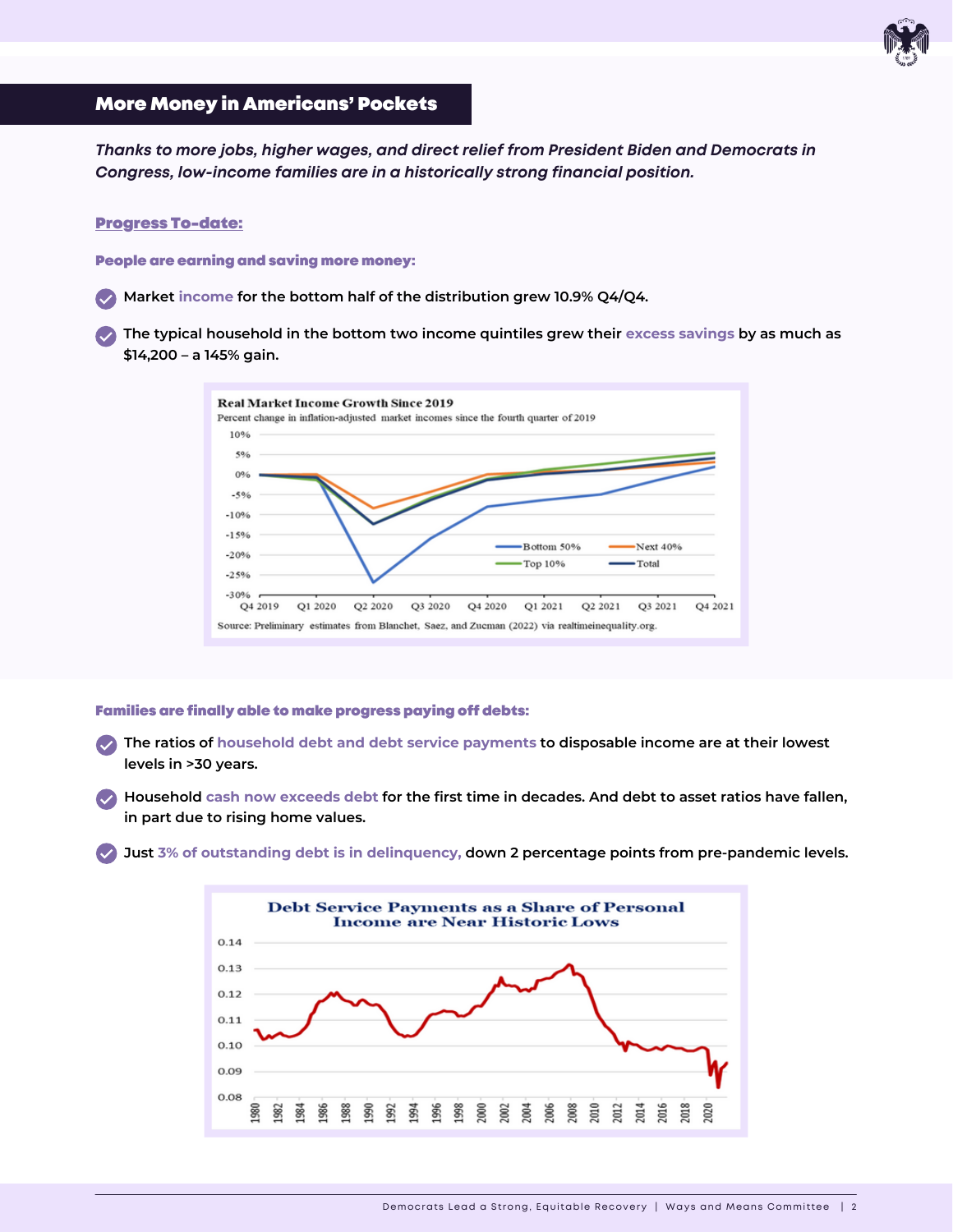## More Money in Americans' Pockets

*Thanks to more jobs, higher wages, and direct relief from President Biden and Democrats in Congress, low-income families are in a historically strong financial position.*

### Progress To-date:

People are earning and saving more money:

**Market income for the bottom half of the distribution grew 10.9% Q4/Q4.**

**The typical household in the bottom two income quintiles grew their excess savings by as much as \$14,200 – a 145% gain.**



#### Families are finally able to make progress paying off debts:

**The ratios of household debt and debt service payments to disposable income are at their lowest levels in >30 years.**

Household cash now exceeds debt for the first time in decades. And debt to asset ratios have fallen, **in part due to rising home values.**

**Just 3% of outstanding debt is in delinquency, down 2 percentage points from pre-pandemic levels.**